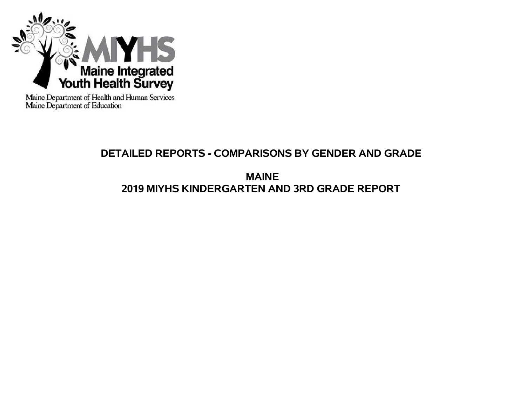

Maine Department of Health and Human Services<br>Maine Department of Education

# **DETAILED REPORTS - COMPARISONS BY GENDER AND GRADE**

**MAINE 2019 MIYHS KINDERGARTEN AND 3RD GRADE REPORT**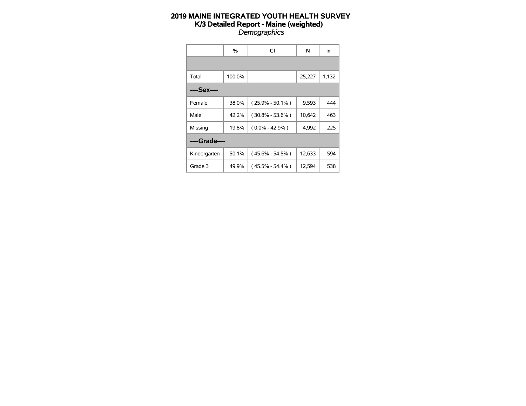|               | %      | CI                  | N      | n     |
|---------------|--------|---------------------|--------|-------|
|               |        |                     |        |       |
| Total         | 100.0% |                     | 25,227 | 1,132 |
| ----Sex----   |        |                     |        |       |
| Female        | 38.0%  | $(25.9\% - 50.1\%)$ | 9,593  | 444   |
| Male          | 42.2%  | $(30.8\% - 53.6\%)$ | 10,642 | 463   |
| Missing       | 19.8%  | $(0.0\% - 42.9\%)$  | 4,992  | 225   |
| ----Grade---- |        |                     |        |       |
| Kindergarten  | 50.1%  | $(45.6\% - 54.5\%)$ | 12,633 | 594   |
| Grade 3       | 49.9%  | (45.5% - 54.4%)     | 12,594 | 538   |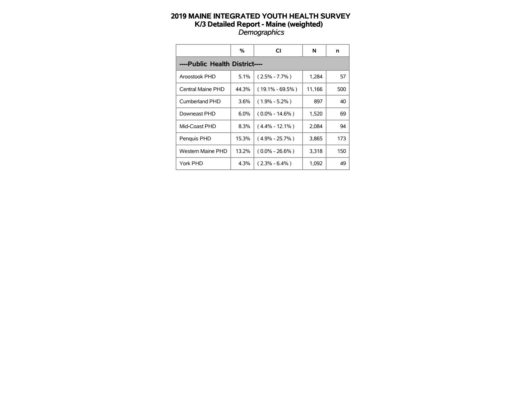|                                | %       | CI                  | N      | n   |  |  |  |  |  |  |  |
|--------------------------------|---------|---------------------|--------|-----|--|--|--|--|--|--|--|
| ----Public Health District---- |         |                     |        |     |  |  |  |  |  |  |  |
| Aroostook PHD                  | 5.1%    | $(2.5\% - 7.7\%)$   | 1,284  | 57  |  |  |  |  |  |  |  |
| Central Maine PHD              | 44.3%   | $(19.1\% - 69.5\%)$ | 11,166 | 500 |  |  |  |  |  |  |  |
| Cumberland PHD                 | $3.6\%$ | $(1.9\% - 5.2\%)$   | 897    | 40  |  |  |  |  |  |  |  |
| Downeast PHD                   | $6.0\%$ | $(0.0\% - 14.6\%)$  | 1,520  | 69  |  |  |  |  |  |  |  |
| Mid-Coast PHD                  | 8.3%    | $(4.4\% - 12.1\%)$  | 2,084  | 94  |  |  |  |  |  |  |  |
| Penguis PHD                    | 15.3%   | $(4.9\% - 25.7\%)$  | 3,865  | 173 |  |  |  |  |  |  |  |
| Western Maine PHD              | 13.2%   | $(0.0\% - 26.6\%)$  | 3,318  | 150 |  |  |  |  |  |  |  |
| York PHD                       | 4.3%    | $(2.3\% - 6.4\%)$   | 1,092  | 49  |  |  |  |  |  |  |  |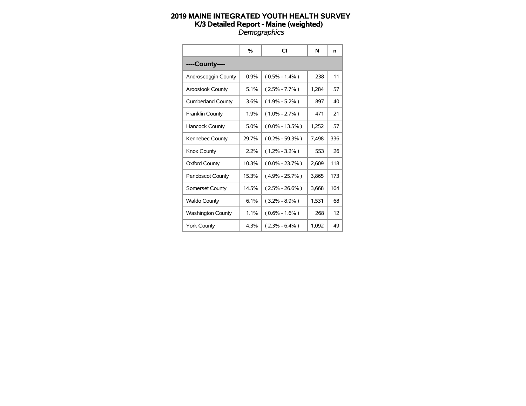|                          | %       | CI                 | N     | n   |
|--------------------------|---------|--------------------|-------|-----|
| ----County----           |         |                    |       |     |
| Androscoggin County      | 0.9%    | $(0.5\% - 1.4\%)$  | 238   | 11  |
| <b>Aroostook County</b>  | 5.1%    | $(2.5\% - 7.7\%)$  | 1,284 | 57  |
| <b>Cumberland County</b> | 3.6%    | $(1.9\% - 5.2\%)$  | 897   | 40  |
| Franklin County          | 1.9%    | $(1.0\% - 2.7\%)$  | 471   | 21  |
| Hancock County           | $5.0\%$ | $(0.0\% - 13.5\%)$ | 1,252 | 57  |
| Kennebec County          | 29.7%   | $(0.2\% - 59.3\%)$ | 7,498 | 336 |
| Knox County              | 2.2%    | $(1.2\% - 3.2\%)$  | 553   | 26  |
| <b>Oxford County</b>     | 10.3%   | $(0.0\% - 23.7\%)$ | 2.609 | 118 |
| <b>Penobscot County</b>  | 15.3%   | $(4.9\% - 25.7\%)$ | 3,865 | 173 |
| Somerset County          | 14.5%   | $(2.5\% - 26.6\%)$ | 3.668 | 164 |
| <b>Waldo County</b>      | 6.1%    | $(3.2\% - 8.9\%)$  | 1,531 | 68  |
| <b>Washington County</b> | 1.1%    | $(0.6\% - 1.6\%)$  | 268   | 12  |
| <b>York County</b>       | 4.3%    | $(2.3\% - 6.4\%)$  | 1,092 | 49  |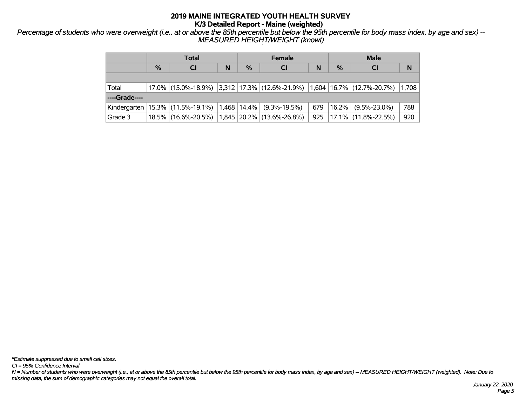*Percentage of students who were overweight (i.e., at or above the 85th percentile but below the 95th percentile for body mass index, by age and sex) -- MEASURED HEIGHT/WEIGHT (knowt)*

|               | <b>Total</b> |                                      |   | <b>Female</b> |                                                                            |     | <b>Male</b> |                     |       |
|---------------|--------------|--------------------------------------|---|---------------|----------------------------------------------------------------------------|-----|-------------|---------------------|-------|
|               | $\%$         | <b>CI</b>                            | N | $\%$          | <b>CI</b>                                                                  | N   | $\%$        | <b>CI</b>           | N     |
|               |              |                                      |   |               |                                                                            |     |             |                     |       |
| Total         |              |                                      |   |               | $17.0\%$ (15.0%-18.9%) 3,312 17.3% (12.6%-21.9%) 1,604 16.7% (12.7%-20.7%) |     |             |                     | 1,708 |
| ----Grade---- |              |                                      |   |               |                                                                            |     |             |                     |       |
|               |              | Kindergarten   15.3%   (11.5%-19.1%) |   |               | $1,468$   14.4%   (9.3%-19.5%)                                             | 679 | $16.2\%$    | $(9.5\% - 23.0\%)$  | 788   |
| Grade 3       |              | 18.5% (16.6%-20.5%)                  |   |               | $1,845$ 20.2% (13.6%-26.8%)                                                | 925 |             | 17.1% (11.8%-22.5%) | 920   |

*\*Estimate suppressed due to small cell sizes.*

*CI = 95% Confidence Interval*

*N = Number of students who were overweight (i.e., at or above the 85th percentile but below the 95th percentile for body mass index, by age and sex) -- MEASURED HEIGHT/WEIGHT (weighted). Note: Due to missing data, the sum of demographic categories may not equal the overall total.*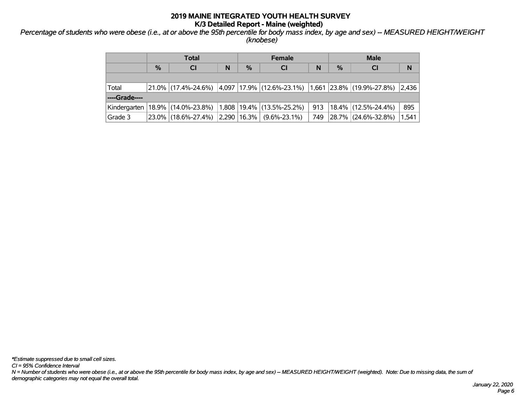*Percentage of students who were obese (i.e., at or above the 95th percentile for body mass index, by age and sex) -- MEASURED HEIGHT/WEIGHT (knobese)*

|                 | <b>Total</b>  |                                                                                                  |   | <b>Female</b> |           |     | <b>Male</b> |                        |       |
|-----------------|---------------|--------------------------------------------------------------------------------------------------|---|---------------|-----------|-----|-------------|------------------------|-------|
|                 | $\frac{0}{0}$ | <b>CI</b>                                                                                        | N | $\%$          | <b>CI</b> | N   | $\%$        | <b>CI</b>              | N     |
|                 |               |                                                                                                  |   |               |           |     |             |                        |       |
| Total           |               | $ 21.0\% $ (17.4%-24.6%) $ 4.097 17.9\% $ (12.6%-23.1%) $ 1.661 23.8\% $ (19.9%-27.8%) $ 2.436 $ |   |               |           |     |             |                        |       |
| ----Grade----   |               |                                                                                                  |   |               |           |     |             |                        |       |
| Kindergarten    |               | $18.9\%$ (14.0%-23.8%) 1,808 19.4% (13.5%-25.2%)                                                 |   |               |           | 913 |             | $18.4\%$ (12.5%-24.4%) | 895   |
| $\vert$ Grade 3 |               | $23.0\%$ (18.6%-27.4%) 2,290 16.3% (9.6%-23.1%)                                                  |   |               |           | 749 |             | 28.7% (24.6%-32.8%)    | 1,541 |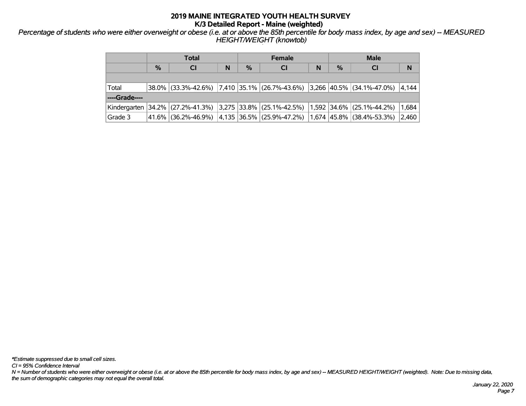*Percentage of students who were either overweight or obese (i.e. at or above the 85th percentile for body mass index, by age and sex) -- MEASURED HEIGHT/WEIGHT (knowtob)*

|               | Total |                                                                                      |   | <b>Female</b> |                                                                |   | <b>Male</b> |           |       |
|---------------|-------|--------------------------------------------------------------------------------------|---|---------------|----------------------------------------------------------------|---|-------------|-----------|-------|
|               | %     | <b>CI</b>                                                                            | N | $\frac{0}{2}$ | <b>CI</b>                                                      | N | $\%$        | <b>CI</b> | N     |
|               |       |                                                                                      |   |               |                                                                |   |             |           |       |
| Total         |       | $38.0\%$ (33.3%-42.6%) $7,410$ 35.1% (26.7%-43.6%) 3,266 40.5% (34.1%-47.0%)         |   |               |                                                                |   |             |           | 4.144 |
| ----Grade---- |       |                                                                                      |   |               |                                                                |   |             |           |       |
|               |       | Kindergarten 34.2% (27.2%-41.3%) 3,275 33.8% (25.1%-42.5%) 1,592 34.6% (25.1%-44.2%) |   |               |                                                                |   |             |           | 1,684 |
| Grade 3       |       | 41.6% (36.2%-46.9%)                                                                  |   |               | $(4,135 36.5\% 25.9\% - 47.2\%) 1,674 45.8\% 38.4\% - 53.3\%)$ |   |             |           | 2,460 |

*\*Estimate suppressed due to small cell sizes.*

*CI = 95% Confidence Interval*

*N = Number of students who were either overweight or obese (i.e. at or above the 85th percentile for body mass index, by age and sex) -- MEASURED HEIGHT/WEIGHT (weighted). Note: Due to missing data, the sum of demographic categories may not equal the overall total.*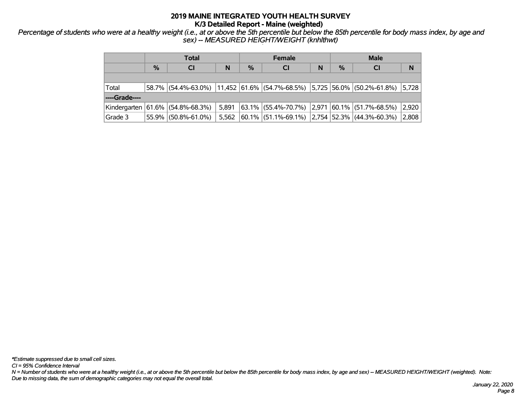*Percentage of students who were at a healthy weight (i.e., at or above the 5th percentile but below the 85th percentile for body mass index, by age and sex) -- MEASURED HEIGHT/WEIGHT (knhlthwt)*

|               | Total |                                                                                                                                                                                                    |       |               | <b>Female</b>                                      |   |               | <b>Male</b> |       |  |
|---------------|-------|----------------------------------------------------------------------------------------------------------------------------------------------------------------------------------------------------|-------|---------------|----------------------------------------------------|---|---------------|-------------|-------|--|
|               | $\%$  | <b>CI</b>                                                                                                                                                                                          | N     | $\frac{0}{0}$ | <b>CI</b>                                          | N | $\frac{0}{0}$ | <b>CI</b>   | N     |  |
|               |       |                                                                                                                                                                                                    |       |               |                                                    |   |               |             |       |  |
| Total         |       | $\left  \frac{58.7\%}{54.4\%} \right $ (54.4%-63.0%) $\left  \frac{11,452}{61.6\%} \right $ (54.7%-68.5%) $\left  \frac{5,725}{56.0\%} \right $ (50.2%-61.8%) $\left  \frac{5,728}{5,728} \right $ |       |               |                                                    |   |               |             |       |  |
| ----Grade---- |       |                                                                                                                                                                                                    |       |               |                                                    |   |               |             |       |  |
|               |       | Kindergarten 61.6% (54.8%-68.3%)                                                                                                                                                                   | 5,891 |               | $ 63.1\% $ (55.4%-70.7%) 2,971 60.1% (51.7%-68.5%) |   |               |             | 2,920 |  |
| Grade 3       |       | 55.9% (50.8%-61.0%)                                                                                                                                                                                | 5,562 |               | $ 60.1\% $ (51.1%-69.1%) 2.754 52.3% (44.3%-60.3%) |   |               |             | 2,808 |  |

*CI = 95% Confidence Interval*

*N = Number of students who were at a healthy weight (i.e., at or above the 5th percentile but below the 85th percentile for body mass index, by age and sex) -- MEASURED HEIGHT/WEIGHT (weighted). Note: Due to missing data, the sum of demographic categories may not equal the overall total.*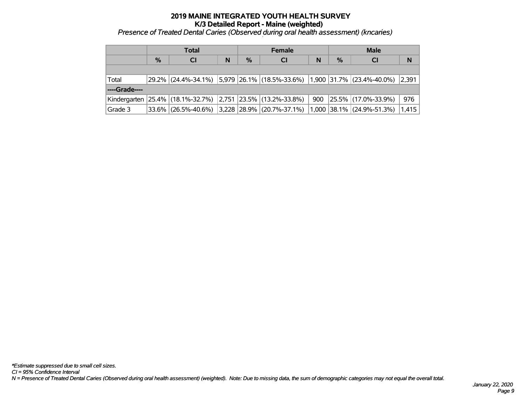# **2019 MAINE INTEGRATED YOUTH HEALTH SURVEY K/3 Detailed Report - Maine (weighted)** *Presence of Treated Dental Caries (Observed during oral health assessment) (kncaries) '*

|               | Total |                                                                      |   | <b>Female</b> |                                                                                                                                                       |     | <b>Male</b>   |                          |       |
|---------------|-------|----------------------------------------------------------------------|---|---------------|-------------------------------------------------------------------------------------------------------------------------------------------------------|-----|---------------|--------------------------|-------|
|               | $\%$  | <b>CI</b>                                                            | N | $\%$          | <b>CI</b>                                                                                                                                             | N   | $\frac{0}{0}$ | <b>CI</b>                | N     |
|               |       |                                                                      |   |               |                                                                                                                                                       |     |               |                          |       |
| Total         |       |                                                                      |   |               | $\left  \frac{29.2\%}{24.4\%} \right $ (24.4%-34.1%) $\left  5.979 \right $ (26.1% $\left  (18.5\% - 33.6\%) \right $ 1,900 31.7% (23.4%-40.0%) 2,391 |     |               |                          |       |
| ----Grade---- |       |                                                                      |   |               |                                                                                                                                                       |     |               |                          |       |
|               |       | Kindergarten   25.4%   (18.1%-32.7%)   2,751   23.5%   (13.2%-33.8%) |   |               |                                                                                                                                                       | 900 |               | $ 25.5\% $ (17.0%-33.9%) | 976   |
| Grade 3       |       |                                                                      |   |               | $33.6\%$ (26.5%-40.6%) 3,228 28.9% (20.7%-37.1%) 1,000 38.1% (24.9%-51.3%)                                                                            |     |               |                          | 1,415 |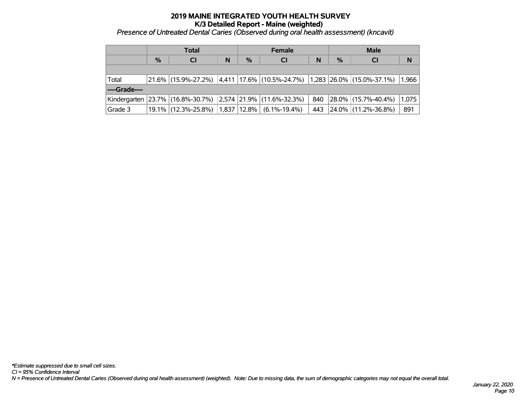# **2019 MAINE INTEGRATED YOUTH HEALTH SURVEY K/3 Detailed Report - Maine (weighted)** *Presence of Untreated Dental Caries (Observed during oral health assessment) (kncavit) '*

|               | <b>Total</b> |                                                                      |   | <b>Female</b> |                                                                                                  |     | <b>Male</b> |                     |       |
|---------------|--------------|----------------------------------------------------------------------|---|---------------|--------------------------------------------------------------------------------------------------|-----|-------------|---------------------|-------|
|               | $\%$         | <b>CI</b>                                                            | N | $\%$          | <b>CI</b>                                                                                        | N   | $\%$        | <b>CI</b>           | N     |
|               |              |                                                                      |   |               |                                                                                                  |     |             |                     |       |
| Total         |              |                                                                      |   |               | $ 21.6\% $ (15.9%-27.2%) $ 4.411 17.6\% $ (10.5%-24.7%) $ 1,283 26.0\% $ (15.0%-37.1%) $ 1,966 $ |     |             |                     |       |
| ----Grade---- |              |                                                                      |   |               |                                                                                                  |     |             |                     |       |
|               |              | Kindergarten   23.7%   (16.8%-30.7%)   2,574   21.9%   (11.6%-32.3%) |   |               |                                                                                                  | 840 |             | 28.0% (15.7%-40.4%) | 1,075 |
| Grade 3       |              | $19.1\%$ (12.3%-25.8%)                                               |   |               | $ 1,837 12.8\% $ (6.1%-19.4%)                                                                    | 443 |             | 24.0% (11.2%-36.8%) | 891   |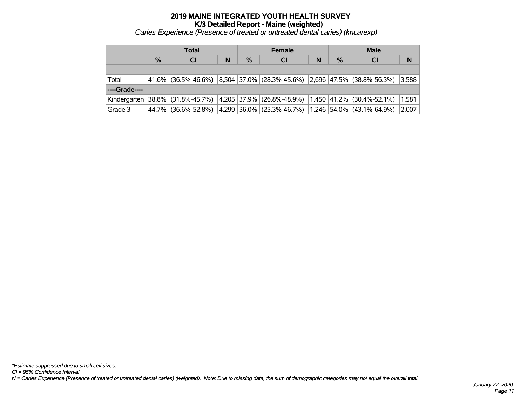# **2019 MAINE INTEGRATED YOUTH HEALTH SURVEY K/3 Detailed Report - Maine (weighted)** *Caries Experience (Presence of treated or untreated dental caries) (kncarexp) '*

|                 | Total |                                                                                       |   | <b>Female</b> |                                                               |   | <b>Male</b> |           |       |
|-----------------|-------|---------------------------------------------------------------------------------------|---|---------------|---------------------------------------------------------------|---|-------------|-----------|-------|
|                 | $\%$  | <b>CI</b>                                                                             | N | $\%$          | <b>CI</b>                                                     | N | $\%$        | <b>CI</b> | N     |
|                 |       |                                                                                       |   |               |                                                               |   |             |           |       |
| Total           |       | 41.6%  (36.5%-46.6%)  8,504  37.0%  (28.3%-45.6%)  2,696  47.5%  (38.8%-56.3%)  3,588 |   |               |                                                               |   |             |           |       |
| ----Grade----   |       |                                                                                       |   |               |                                                               |   |             |           |       |
|                 |       | Kindergarten 38.8% (31.8%-45.7%) 4,205 37.9% (26.8%-48.9%) 1,450 41.2% (30.4%-52.1%)  |   |               |                                                               |   |             |           | 1,581 |
| $\vert$ Grade 3 |       | 44.7% (36.6%-52.8%)                                                                   |   |               | 4,299   36.0%   (25.3%-46.7%)   1,246   54.0%   (43.1%-64.9%) |   |             |           | 2,007 |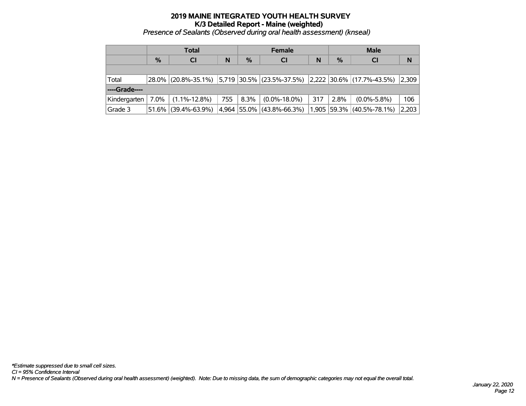*Presence of Sealants (Observed during oral health assessment) (knseal) '*

|               | <b>Total</b>  |                                                                                                                         |     | <b>Female</b> |                           |       | <b>Male</b>   |                          |       |
|---------------|---------------|-------------------------------------------------------------------------------------------------------------------------|-----|---------------|---------------------------|-------|---------------|--------------------------|-------|
|               | $\frac{0}{2}$ | <b>CI</b>                                                                                                               | N   | $\%$          | <b>CI</b>                 | N     | $\frac{9}{6}$ | <b>CI</b>                | N     |
|               |               |                                                                                                                         |     |               |                           |       |               |                          |       |
| Total         |               | $\vert$ 28.0% $\vert$ (20.8%-35.1%) $\vert$ 5,719 30.5% $\vert$ (23.5%-37.5%) $\vert$ 2,222 30.6% $\vert$ (17.7%-43.5%) |     |               |                           |       |               |                          | 2,309 |
| ----Grade---- |               |                                                                                                                         |     |               |                           |       |               |                          |       |
| Kindergarten  | $7.0\%$       | $(1.1\% - 12.8\%)$                                                                                                      | 755 | $8.3\%$       | $(0.0\% - 18.0\%)$        | 317   | 2.8%          | $(0.0\% - 5.8\%)$        | 106   |
| Grade 3       |               | 51.6% (39.4%-63.9%)                                                                                                     |     |               | 4,964 55.0% (43.8%-66.3%) | 1,905 |               | $ 59.3\% $ (40.5%-78.1%) | 2,203 |